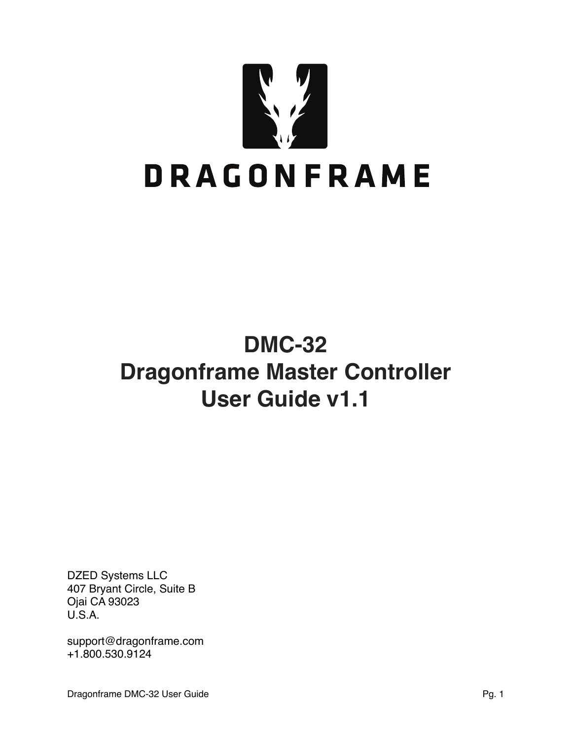

# **DMC-32 Dragonframe Master Controller User Guide v1.1**

DZED Systems LLC 407 Bryant Circle, Suite B Ojai CA 93023 U.S.A.

[support@dragonframe.com](mailto:support@dragonframe.com) +1.800.530.9124

Dragonframe DMC-32 User Guide **Pg. 1** Pg. 1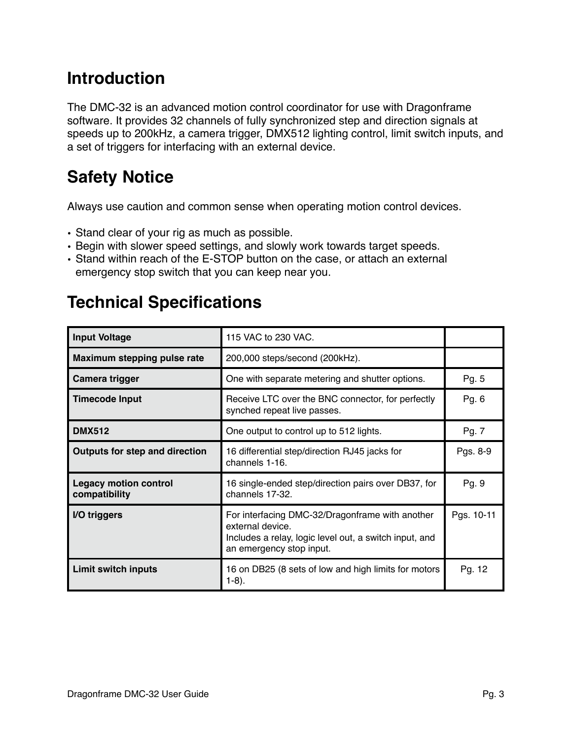# **Introduction**

The DMC-32 is an advanced motion control coordinator for use with Dragonframe software. It provides 32 channels of fully synchronized step and direction signals at speeds up to 200kHz, a camera trigger, DMX512 lighting control, limit switch inputs, and a set of triggers for interfacing with an external device.

# **Safety Notice**

Always use caution and common sense when operating motion control devices.

- Stand clear of your rig as much as possible.
- Begin with slower speed settings, and slowly work towards target speeds.
- Stand within reach of the E-STOP button on the case, or attach an external emergency stop switch that you can keep near you.

# **Technical Specifications**

| <b>Input Voltage</b>                          | 115 VAC to 230 VAC.                                                                                                                                       |       |
|-----------------------------------------------|-----------------------------------------------------------------------------------------------------------------------------------------------------------|-------|
| Maximum stepping pulse rate                   | 200,000 steps/second (200kHz).                                                                                                                            |       |
| Camera trigger                                | One with separate metering and shutter options.                                                                                                           | Pg. 5 |
| <b>Timecode Input</b>                         | Receive LTC over the BNC connector, for perfectly<br>synched repeat live passes.                                                                          |       |
| <b>DMX512</b>                                 | One output to control up to 512 lights.                                                                                                                   | Pg. 7 |
| <b>Outputs for step and direction</b>         | 16 differential step/direction RJ45 jacks for<br>channels 1-16.                                                                                           |       |
| <b>Legacy motion control</b><br>compatibility | 16 single-ended step/direction pairs over DB37, for<br>channels 17-32.                                                                                    | Pg. 9 |
| I/O triggers                                  | For interfacing DMC-32/Dragonframe with another<br>external device.<br>Includes a relay, logic level out, a switch input, and<br>an emergency stop input. |       |
| <b>Limit switch inputs</b>                    | 16 on DB25 (8 sets of low and high limits for motors<br>$1-8$ ).                                                                                          |       |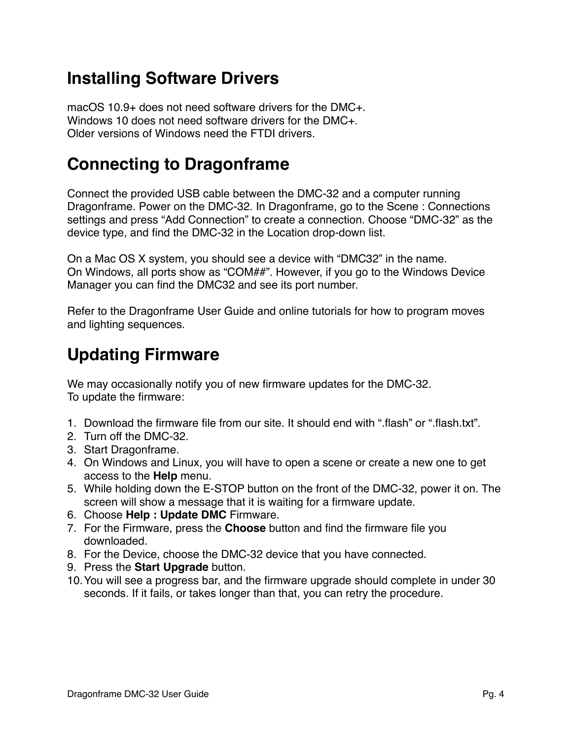### **Installing Software Drivers**

macOS 10.9+ does not need software drivers for the DMC+. Windows 10 does not need software drivers for the DMC+. Older versions of Windows need the FTDI drivers.

### **Connecting to Dragonframe**

Connect the provided USB cable between the DMC-32 and a computer running Dragonframe. Power on the DMC-32. In Dragonframe, go to the Scene : Connections settings and press "Add Connection" to create a connection. Choose "DMC-32" as the device type, and find the DMC-32 in the Location drop-down list.

On a Mac OS X system, you should see a device with "DMC32" in the name. On Windows, all ports show as "COM##". However, if you go to the Windows Device Manager you can find the DMC32 and see its port number.

Refer to the Dragonframe User Guide and online tutorials for how to program moves and lighting sequences.

## **Updating Firmware**

We may occasionally notify you of new firmware updates for the DMC-32. To update the firmware:

- 1. Download the firmware file from our site. It should end with ".flash" or ".flash.txt".
- 2. Turn off the DMC-32.
- 3. Start Dragonframe.
- 4. On Windows and Linux, you will have to open a scene or create a new one to get access to the **Help** menu.
- 5. While holding down the E-STOP button on the front of the DMC-32, power it on. The screen will show a message that it is waiting for a firmware update.
- 6. Choose **Help : Update DMC** Firmware.
- 7. For the Firmware, press the **Choose** button and find the firmware file you downloaded.
- 8. For the Device, choose the DMC-32 device that you have connected.
- 9. Press the **Start Upgrade** button.
- 10.You will see a progress bar, and the firmware upgrade should complete in under 30 seconds. If it fails, or takes longer than that, you can retry the procedure.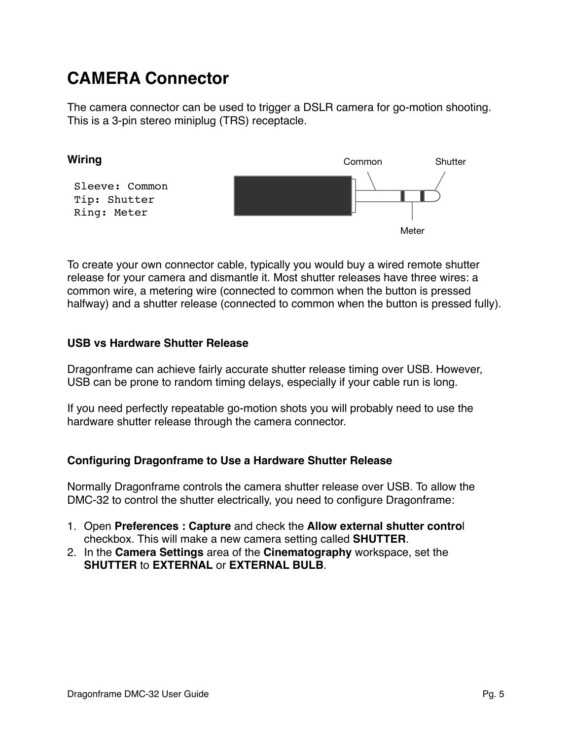## **CAMERA Connector**

The camera connector can be used to trigger a DSLR camera for go-motion shooting. This is a 3-pin stereo miniplug (TRS) receptacle.



To create your own connector cable, typically you would buy a wired remote shutter release for your camera and dismantle it. Most shutter releases have three wires: a common wire, a metering wire (connected to common when the button is pressed halfway) and a shutter release (connected to common when the button is pressed fully).

### **USB vs Hardware Shutter Release**

Dragonframe can achieve fairly accurate shutter release timing over USB. However, USB can be prone to random timing delays, especially if your cable run is long.

If you need perfectly repeatable go-motion shots you will probably need to use the hardware shutter release through the camera connector.

### **Configuring Dragonframe to Use a Hardware Shutter Release**

Normally Dragonframe controls the camera shutter release over USB. To allow the DMC-32 to control the shutter electrically, you need to configure Dragonframe:

- 1. Open **Preferences : Capture** and check the **Allow external shutter contro**l checkbox. This will make a new camera setting called **SHUTTER**.
- 2. In the **Camera Settings** area of the **Cinematography** workspace, set the **SHUTTER** to **EXTERNAL** or **EXTERNAL BULB**.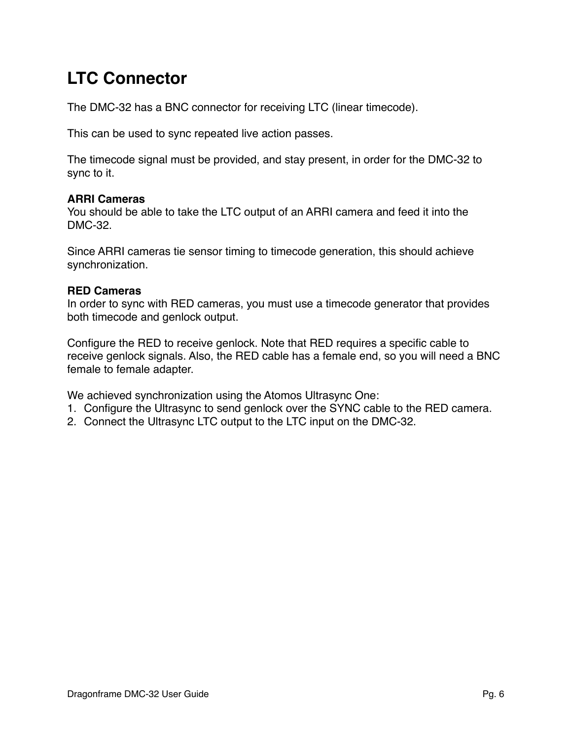# **LTC Connector**

The DMC-32 has a BNC connector for receiving LTC (linear timecode).

This can be used to sync repeated live action passes.

The timecode signal must be provided, and stay present, in order for the DMC-32 to sync to it.

### **ARRI Cameras**

You should be able to take the LTC output of an ARRI camera and feed it into the DMC-32.

Since ARRI cameras tie sensor timing to timecode generation, this should achieve synchronization.

### **RED Cameras**

In order to sync with RED cameras, you must use a timecode generator that provides both timecode and genlock output.

Configure the RED to receive genlock. Note that RED requires a specific cable to receive genlock signals. Also, the RED cable has a female end, so you will need a BNC female to female adapter.

We achieved synchronization using the Atomos Ultrasync One:

- 1. Configure the Ultrasync to send genlock over the SYNC cable to the RED camera.
- 2. Connect the Ultrasync LTC output to the LTC input on the DMC-32.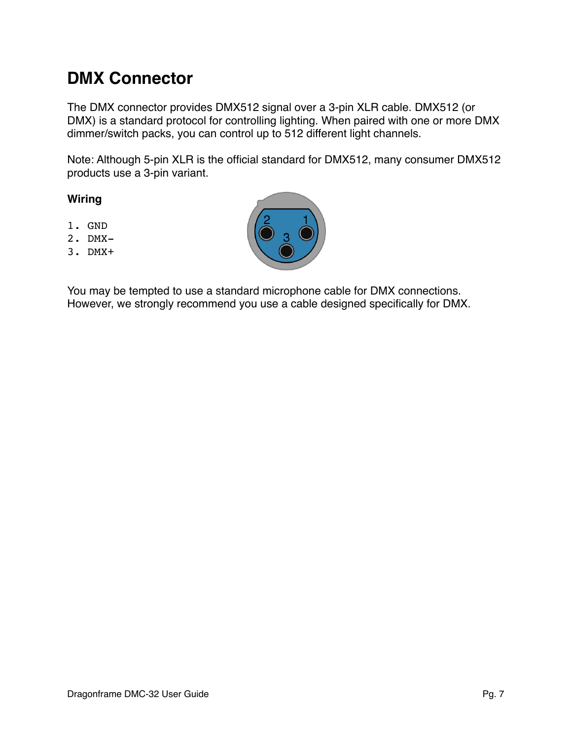### **DMX Connector**

The DMX connector provides DMX512 signal over a 3-pin XLR cable. DMX512 (or DMX) is a standard protocol for controlling lighting. When paired with one or more DMX dimmer/switch packs, you can control up to 512 different light channels.

Note: Although 5-pin XLR is the official standard for DMX512, many consumer DMX512 products use a 3-pin variant.

#### **Wiring**

- 1. GND
- 2. DMX-
- 3. DMX+



You may be tempted to use a standard microphone cable for DMX connections. However, we strongly recommend you use a cable designed specifically for DMX.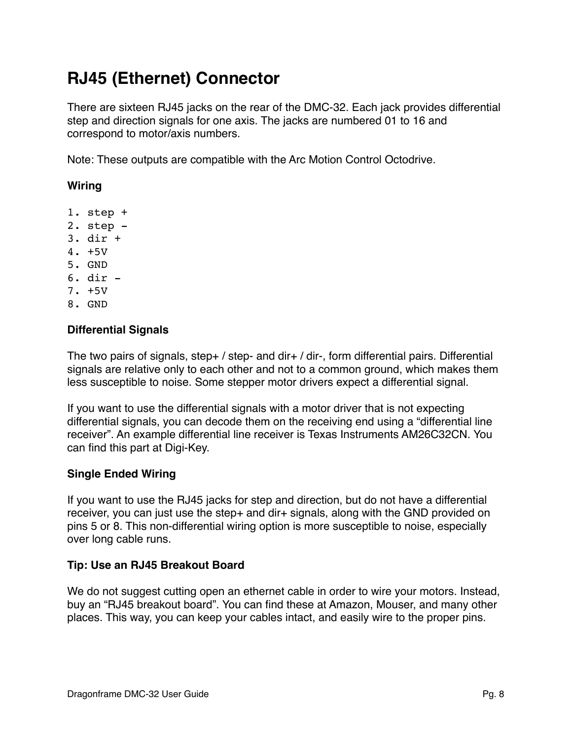# **RJ45 (Ethernet) Connector**

There are sixteen RJ45 jacks on the rear of the DMC-32. Each jack provides differential step and direction signals for one axis. The jacks are numbered 01 to 16 and correspond to motor/axis numbers.

Note: These outputs are compatible with the Arc Motion Control Octodrive.

### **Wiring**

- 1. step +
- 2. step -
- 3. dir +
- 4. +5V
- 5. GND
- 6. dir -
- 7. +5V
- 8. GND

#### **Differential Signals**

The two pairs of signals, step+ / step- and dir+ / dir-, form differential pairs. Differential signals are relative only to each other and not to a common ground, which makes them less susceptible to noise. Some stepper motor drivers expect a differential signal.

If you want to use the differential signals with a motor driver that is not expecting differential signals, you can decode them on the receiving end using a "differential line receiver". An example differential line receiver is Texas Instruments AM26C32CN. You can find this part at Digi-Key.

### **Single Ended Wiring**

If you want to use the RJ45 jacks for step and direction, but do not have a differential receiver, you can just use the step+ and dir+ signals, along with the GND provided on pins 5 or 8. This non-differential wiring option is more susceptible to noise, especially over long cable runs.

### **Tip: Use an RJ45 Breakout Board**

We do not suggest cutting open an ethernet cable in order to wire your motors. Instead, buy an "RJ45 breakout board". You can find these at Amazon, Mouser, and many other places. This way, you can keep your cables intact, and easily wire to the proper pins.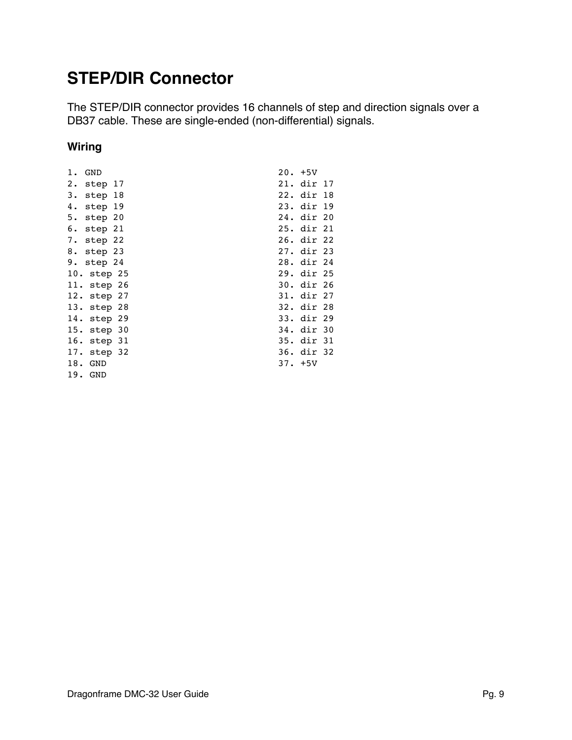### **STEP/DIR Connector**

The STEP/DIR connector provides 16 channels of step and direction signals over a DB37 cable. These are single-ended (non-differential) signals.

### **Wiring**

| 1. GND      | $20. +5V$  |  |
|-------------|------------|--|
| 2. step 17  | 21. dir 17 |  |
| 3. step 18  | 22. dir 18 |  |
| 4. step 19  | 23. dir 19 |  |
| 5. step 20  | 24. dir 20 |  |
| 6. step 21  | 25. dir 21 |  |
| 7. step 22  | 26. dir 22 |  |
| 8. step 23  | 27. dir 23 |  |
| 9. step 24  | 28. dir 24 |  |
| 10. step 25 | 29. dir 25 |  |
| 11. step 26 | 30. dir 26 |  |
| 12. step 27 | 31. dir 27 |  |
| 13. step 28 | 32. dir 28 |  |
| 14. step 29 | 33. dir 29 |  |
| 15. step 30 | 34. dir 30 |  |
| 16. step 31 | 35. dir 31 |  |
| 17. step 32 | 36. dir 32 |  |
| 18. GND     | $37. +5V$  |  |
| 19. GND     |            |  |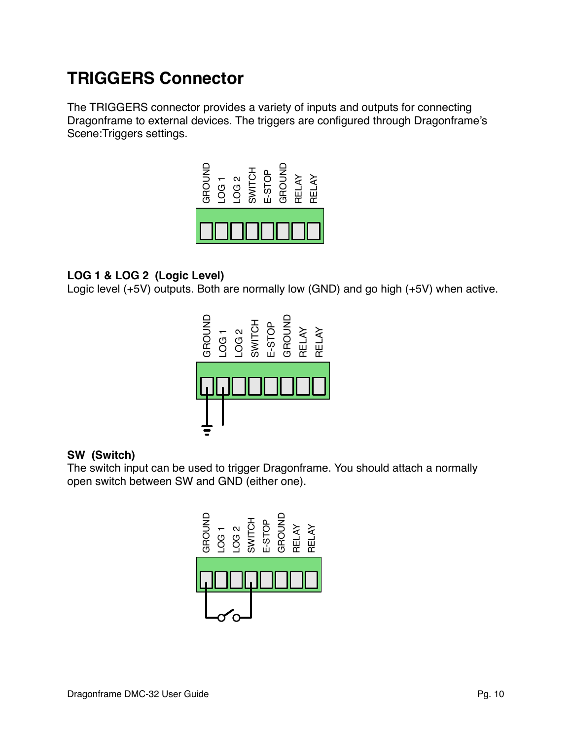# **TRIGGERS Connector**

The TRIGGERS connector provides a variety of inputs and outputs for connecting Dragonframe to external devices. The triggers are configured through Dragonframe's Scene:Triggers settings.



### **LOG 1 & LOG 2 (Logic Level)**

Logic level (+5V) outputs. Both are normally low (GND) and go high (+5V) when active.



### **SW (Switch)**

The switch input can be used to trigger Dragonframe. You should attach a normally open switch between SW and GND (either one).

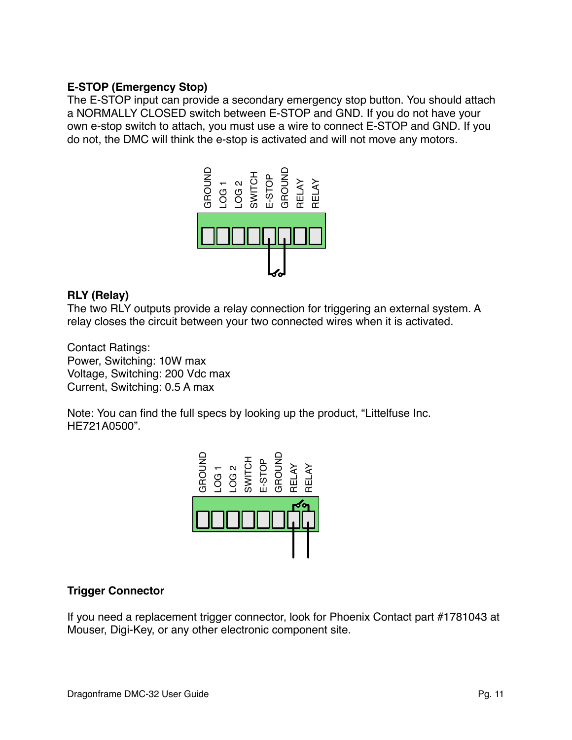### **E-STOP (Emergency Stop)**

The E-STOP input can provide a secondary emergency stop button. You should attach a NORMALLY CLOSED switch between E-STOP and GND. If you do not have your own e-stop switch to attach, you must use a wire to connect E-STOP and GND. If you do not, the DMC will think the e-stop is activated and will not move any motors.



### **RLY (Relay)**

The two RLY outputs provide a relay connection for triggering an external system. A relay closes the circuit between your two connected wires when it is activated.

Contact Ratings: Power, Switching: 10W max Voltage, Switching: 200 Vdc max Current, Switching: 0.5 A max

Note: You can find the full specs by looking up the product, "Littelfuse Inc. HE721A0500".



### **Trigger Connector**

If you need a replacement trigger connector, look for Phoenix Contact part #1781043 at Mouser, Digi-Key, or any other electronic component site.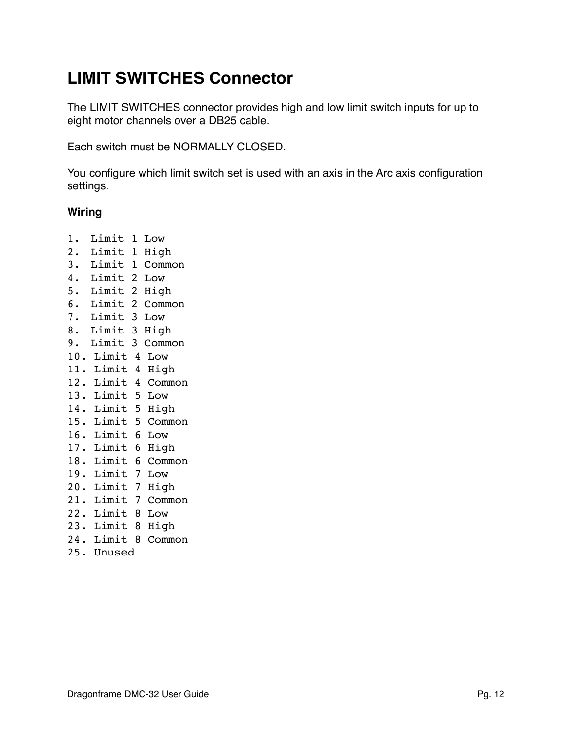# **LIMIT SWITCHES Connector**

The LIMIT SWITCHES connector provides high and low limit switch inputs for up to eight motor channels over a DB25 cable.

Each switch must be NORMALLY CLOSED.

You configure which limit switch set is used with an axis in the Arc axis configuration settings.

### **Wiring**

1. Limit 1 Low 2. Limit 1 High 3. Limit 1 Common 4. Limit 2 Low 5. Limit 2 High 6. Limit 2 Common 7. Limit 3 Low 8. Limit 3 High 9. Limit 3 Common 10. Limit 4 Low 11. Limit 4 High 12. Limit 4 Common 13. Limit 5 Low 14. Limit 5 High 15. Limit 5 Common 16. Limit 6 Low 17. Limit 6 High 18. Limit 6 Common 19. Limit 7 Low 20. Limit 7 High 21. Limit 7 Common 22. Limit 8 Low 23. Limit 8 High 24. Limit 8 Common 25. Unused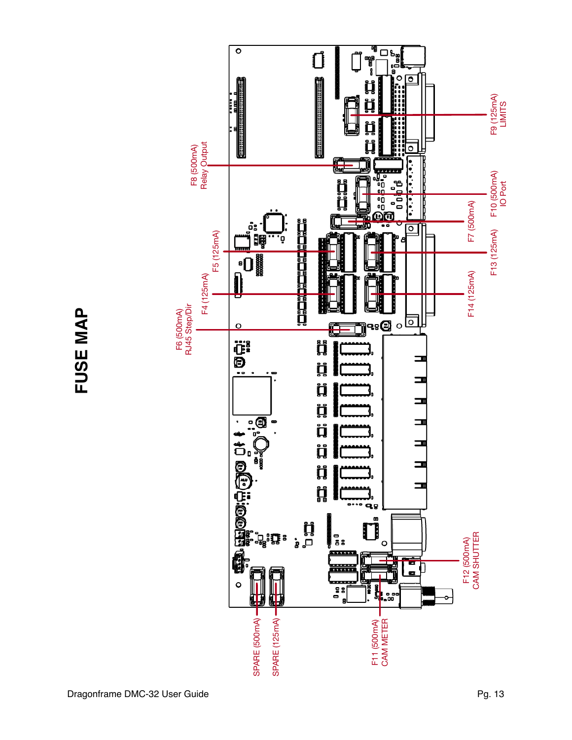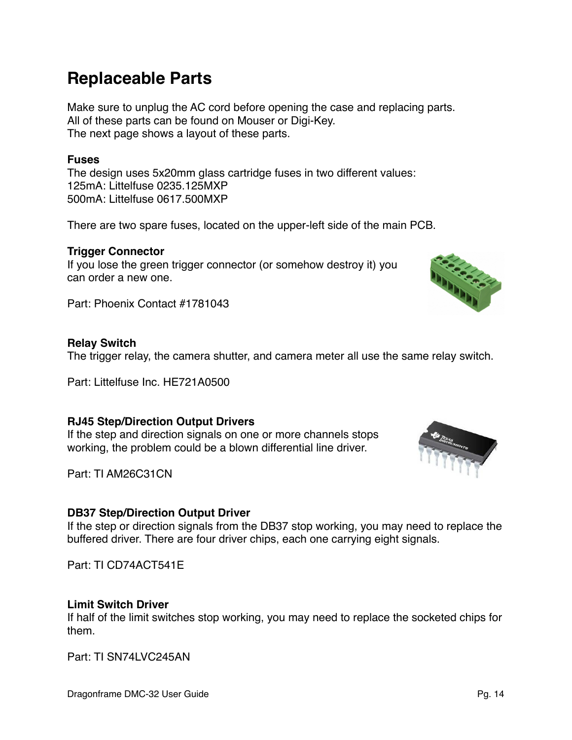## **Replaceable Parts**

Make sure to unplug the AC cord before opening the case and replacing parts. All of these parts can be found on Mouser or Digi-Key. The next page shows a layout of these parts.

### **Fuses**

The design uses 5x20mm glass cartridge fuses in two different values: 125mA: Littelfuse 0235.125MXP 500mA: Littelfuse 0617.500MXP

There are two spare fuses, located on the upper-left side of the main PCB.

### **Trigger Connector**

If you lose the green trigger connector (or somehow destroy it) you can order a new one.

Part: Phoenix Contact #1781043

#### **Relay Switch**

The trigger relay, the camera shutter, and camera meter all use the same relay switch.

Part: Littelfuse Inc. HE721A0500

### **RJ45 Step/Direction Output Drivers**

If the step and direction signals on one or more channels stops working, the problem could be a blown differential line driver.

Part: TI AM26C31CN

### **DB37 Step/Direction Output Driver**

If the step or direction signals from the DB37 stop working, you may need to replace the buffered driver. There are four driver chips, each one carrying eight signals.

Part: TI CD74ACT541E

### **Limit Switch Driver**

If half of the limit switches stop working, you may need to replace the socketed chips for them.

Part: TI SN74LVC245AN